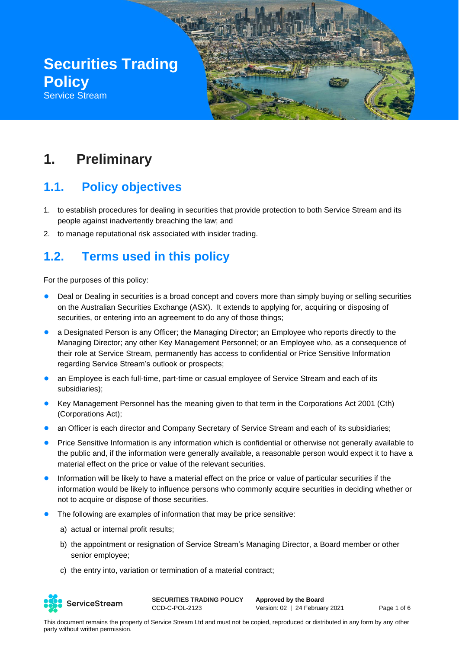

# **1. Preliminary**

# **1.1. Policy objectives**

- 1. to establish procedures for dealing in securities that provide protection to both Service Stream and its people against inadvertently breaching the law; and
- 2. to manage reputational risk associated with insider trading.

# **1.2. Terms used in this policy**

For the purposes of this policy:

- Deal or Dealing in securities is a broad concept and covers more than simply buying or selling securities on the Australian Securities Exchange (ASX). It extends to applying for, acquiring or disposing of securities, or entering into an agreement to do any of those things;
- a Designated Person is any Officer; the Managing Director; an Employee who reports directly to the Managing Director; any other Key Management Personnel; or an Employee who, as a consequence of their role at Service Stream, permanently has access to confidential or Price Sensitive Information regarding Service Stream's outlook or prospects;
- an Employee is each full-time, part-time or casual employee of Service Stream and each of its subsidiaries);
- Key Management Personnel has the meaning given to that term in the Corporations Act 2001 (Cth) (Corporations Act);
- an Officer is each director and Company Secretary of Service Stream and each of its subsidiaries;
- Price Sensitive Information is any information which is confidential or otherwise not generally available to the public and, if the information were generally available, a reasonable person would expect it to have a material effect on the price or value of the relevant securities.
- Information will be likely to have a material effect on the price or value of particular securities if the information would be likely to influence persons who commonly acquire securities in deciding whether or not to acquire or dispose of those securities.
- The following are examples of information that may be price sensitive:
	- a) actual or internal profit results;
	- b) the appointment or resignation of Service Stream's Managing Director, a Board member or other senior employee;
	- c) the entry into, variation or termination of a material contract;



**SECURITIES TRADING POLICY** CCD-C-POL-2123

**Approved by the Board** Version: 02 | 24 February 2021 Page 1 of 6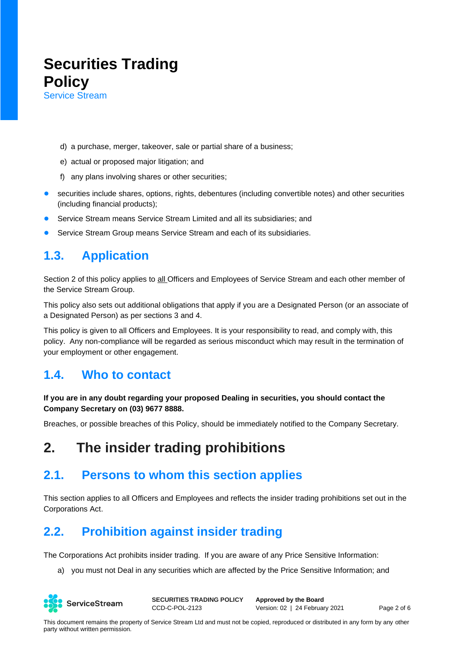d) a purchase, merger, takeover, sale or partial share of a business;

- e) actual or proposed major litigation; and
- f) any plans involving shares or other securities;
- securities include shares, options, rights, debentures (including convertible notes) and other securities (including financial products);
- Service Stream means Service Stream Limited and all its subsidiaries: and
- Service Stream Group means Service Stream and each of its subsidiaries.

### **1.3. Application**

Section 2 of this policy applies to all Officers and Employees of Service Stream and each other member of the Service Stream Group.

This policy also sets out additional obligations that apply if you are a Designated Person (or an associate of a Designated Person) as per sections 3 and 4.

This policy is given to all Officers and Employees. It is your responsibility to read, and comply with, this policy. Any non-compliance will be regarded as serious misconduct which may result in the termination of your employment or other engagement.

#### **1.4. Who to contact**

#### **If you are in any doubt regarding your proposed Dealing in securities, you should contact the Company Secretary on (03) 9677 8888.**

Breaches, or possible breaches of this Policy, should be immediately notified to the Company Secretary.

# **2. The insider trading prohibitions**

#### **2.1. Persons to whom this section applies**

This section applies to all Officers and Employees and reflects the insider trading prohibitions set out in the Corporations Act.

### **2.2. Prohibition against insider trading**

The Corporations Act prohibits insider trading. If you are aware of any Price Sensitive Information:

a) you must not Deal in any securities which are affected by the Price Sensitive Information; and

ServiceStream

**SECURITIES TRADING POLICY** CCD-C-POL-2123

**Approved by the Board** Version: 02 | 24 February 2021 Page 2 of 6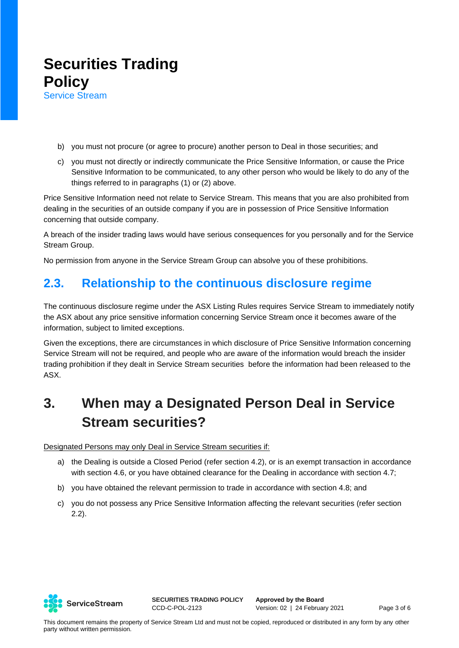- b) you must not procure (or agree to procure) another person to Deal in those securities; and
- c) you must not directly or indirectly communicate the Price Sensitive Information, or cause the Price Sensitive Information to be communicated, to any other person who would be likely to do any of the things referred to in paragraphs (1) or (2) above.

Price Sensitive Information need not relate to Service Stream. This means that you are also prohibited from dealing in the securities of an outside company if you are in possession of Price Sensitive Information concerning that outside company.

A breach of the insider trading laws would have serious consequences for you personally and for the Service Stream Group.

No permission from anyone in the Service Stream Group can absolve you of these prohibitions.

### **2.3. Relationship to the continuous disclosure regime**

The continuous disclosure regime under the ASX Listing Rules requires Service Stream to immediately notify the ASX about any price sensitive information concerning Service Stream once it becomes aware of the information, subject to limited exceptions.

Given the exceptions, there are circumstances in which disclosure of Price Sensitive Information concerning Service Stream will not be required, and people who are aware of the information would breach the insider trading prohibition if they dealt in Service Stream securities before the information had been released to the ASX.

# **3. When may a Designated Person Deal in Service Stream securities?**

Designated Persons may only Deal in Service Stream securities if:

- a) the Dealing is outside a Closed Period (refer section 4.2), or is an exempt transaction in accordance with section 4.6, or you have obtained clearance for the Dealing in accordance with section 4.7;
- b) you have obtained the relevant permission to trade in accordance with section 4.8; and
- c) you do not possess any Price Sensitive Information affecting the relevant securities (refer section 2.2).



**SECURITIES TRADING POLICY** CCD-C-POL-2123

**Approved by the Board** Version: 02 | 24 February 2021 Page 3 of 6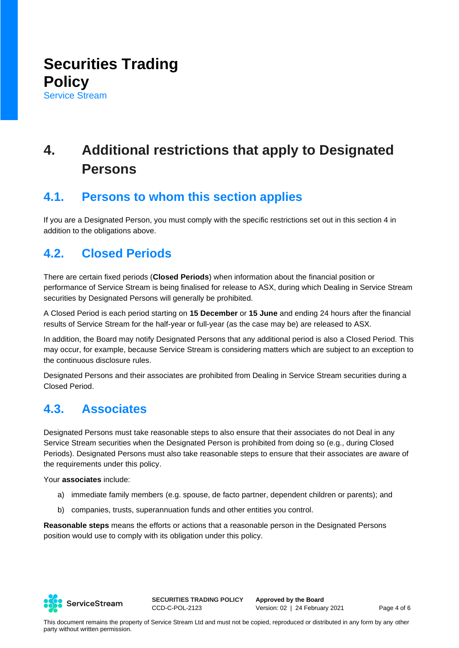# **4. Additional restrictions that apply to Designated Persons**

### **4.1. Persons to whom this section applies**

If you are a Designated Person, you must comply with the specific restrictions set out in this section 4 in addition to the obligations above.

### **4.2. Closed Periods**

There are certain fixed periods (**Closed Periods**) when information about the financial position or performance of Service Stream is being finalised for release to ASX, during which Dealing in Service Stream securities by Designated Persons will generally be prohibited.

A Closed Period is each period starting on **15 December** or **15 June** and ending 24 hours after the financial results of Service Stream for the half-year or full-year (as the case may be) are released to ASX.

In addition, the Board may notify Designated Persons that any additional period is also a Closed Period. This may occur, for example, because Service Stream is considering matters which are subject to an exception to the continuous disclosure rules.

Designated Persons and their associates are prohibited from Dealing in Service Stream securities during a Closed Period.

### **4.3. Associates**

Designated Persons must take reasonable steps to also ensure that their associates do not Deal in any Service Stream securities when the Designated Person is prohibited from doing so (e.g., during Closed Periods). Designated Persons must also take reasonable steps to ensure that their associates are aware of the requirements under this policy.

Your **associates** include:

- a) immediate family members (e.g. spouse, de facto partner, dependent children or parents); and
- b) companies, trusts, superannuation funds and other entities you control.

**Reasonable steps** means the efforts or actions that a reasonable person in the Designated Persons position would use to comply with its obligation under this policy.



**SECURITIES TRADING POLICY** CCD-C-POL-2123

**Approved by the Board** Version: 02 | 24 February 2021 Page 4 of 6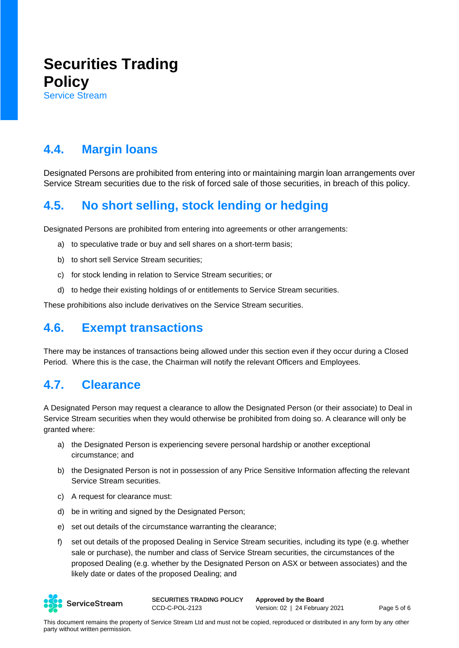### **4.4. Margin loans**

Designated Persons are prohibited from entering into or maintaining margin loan arrangements over Service Stream securities due to the risk of forced sale of those securities, in breach of this policy.

### **4.5. No short selling, stock lending or hedging**

Designated Persons are prohibited from entering into agreements or other arrangements:

- a) to speculative trade or buy and sell shares on a short-term basis;
- b) to short sell Service Stream securities;
- c) for stock lending in relation to Service Stream securities; or
- d) to hedge their existing holdings of or entitlements to Service Stream securities.

These prohibitions also include derivatives on the Service Stream securities.

### **4.6. Exempt transactions**

There may be instances of transactions being allowed under this section even if they occur during a Closed Period. Where this is the case, the Chairman will notify the relevant Officers and Employees.

### **4.7. Clearance**

A Designated Person may request a clearance to allow the Designated Person (or their associate) to Deal in Service Stream securities when they would otherwise be prohibited from doing so. A clearance will only be granted where:

- a) the Designated Person is experiencing severe personal hardship or another exceptional circumstance; and
- b) the Designated Person is not in possession of any Price Sensitive Information affecting the relevant Service Stream securities.
- c) A request for clearance must:
- d) be in writing and signed by the Designated Person;
- e) set out details of the circumstance warranting the clearance;
- f) set out details of the proposed Dealing in Service Stream securities, including its type (e.g. whether sale or purchase), the number and class of Service Stream securities, the circumstances of the proposed Dealing (e.g. whether by the Designated Person on ASX or between associates) and the likely date or dates of the proposed Dealing; and



**SECURITIES TRADING POLICY** CCD-C-POL-2123

**Approved by the Board** Version: 02 | 24 February 2021 Page 5 of 6